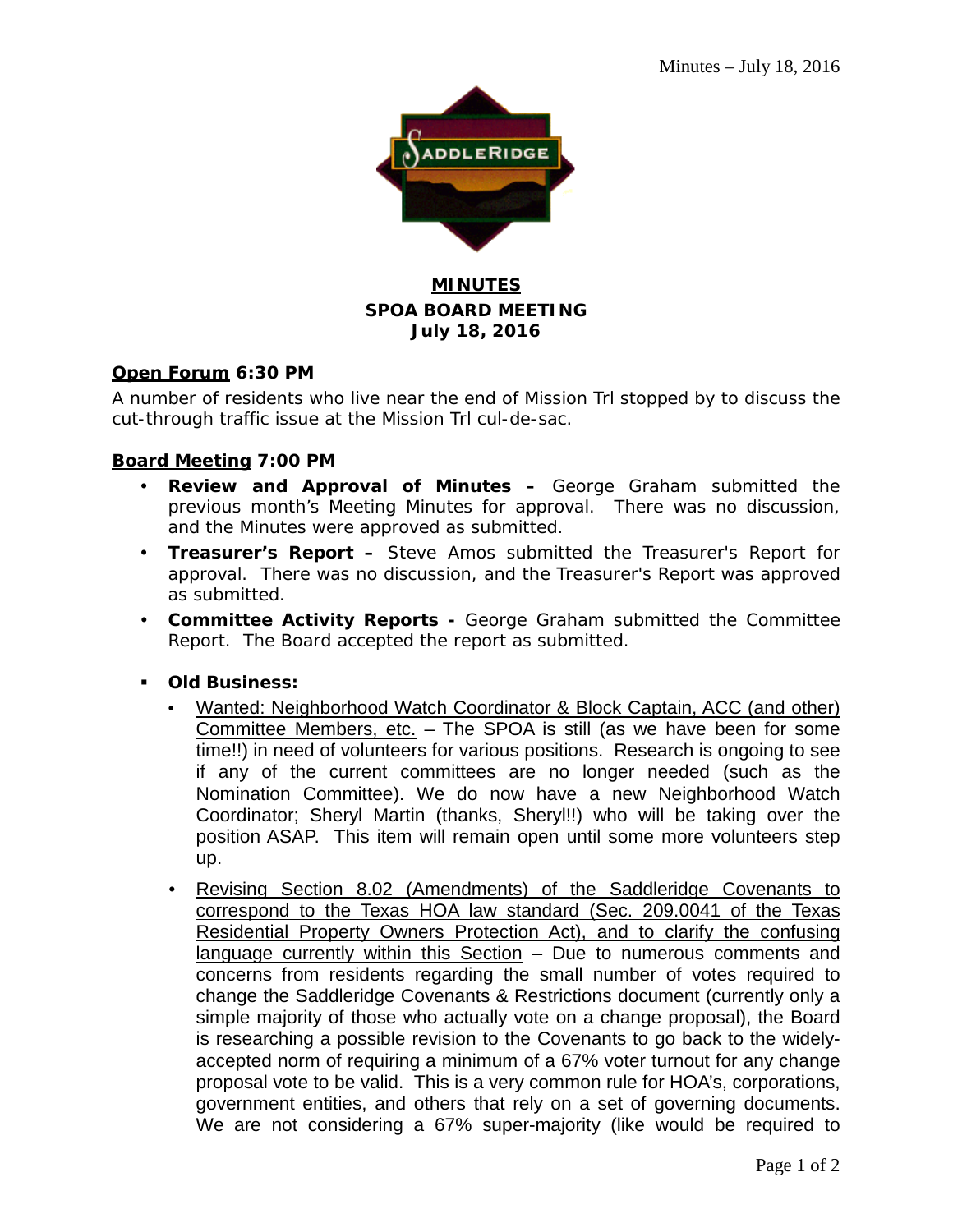

#### **MINUTES SPOA BOARD MEETING July 18, 2016**

#### **Open Forum 6:30 PM**

A number of residents who live near the end of Mission Trl stopped by to discuss the cut-through traffic issue at the Mission Trl cul-de-sac.

#### **Board Meeting 7:00 PM**

- **Review and Approval of Minutes –** George Graham submitted the previous month's Meeting Minutes for approval. There was no discussion, and the Minutes were approved as submitted.
- **Treasurer's Report –** Steve Amos submitted the Treasurer's Report for approval. There was no discussion, and the Treasurer's Report was approved as submitted.
- **Committee Activity Reports -** George Graham submitted the Committee Report. The Board accepted the report as submitted.
- **Old Business:**
	- Wanted: Neighborhood Watch Coordinator & Block Captain, ACC (and other) Committee Members, etc. - The SPOA is still (as we have been for some time!!) in need of volunteers for various positions. Research is ongoing to see if any of the current committees are no longer needed (such as the Nomination Committee). We do now have a new Neighborhood Watch Coordinator; Sheryl Martin (thanks, Sheryl!!) who will be taking over the position ASAP. This item will remain open until some more volunteers step up.
	- Revising Section 8.02 (Amendments) of the Saddleridge Covenants to correspond to the Texas HOA law standard (Sec. 209.0041 of the Texas Residential Property Owners Protection Act), and to clarify the confusing language currently within this Section - Due to numerous comments and concerns from residents regarding the small number of votes required to change the Saddleridge Covenants & Restrictions document (currently only a simple majority of those who actually vote on a change proposal), the Board is researching a possible revision to the Covenants to go back to the widelyaccepted norm of requiring a minimum of a 67% voter turnout for any change proposal vote to be valid. This is a very common rule for HOA's, corporations, government entities, and others that rely on a set of governing documents. We are not considering a 67% super-majority (like would be required to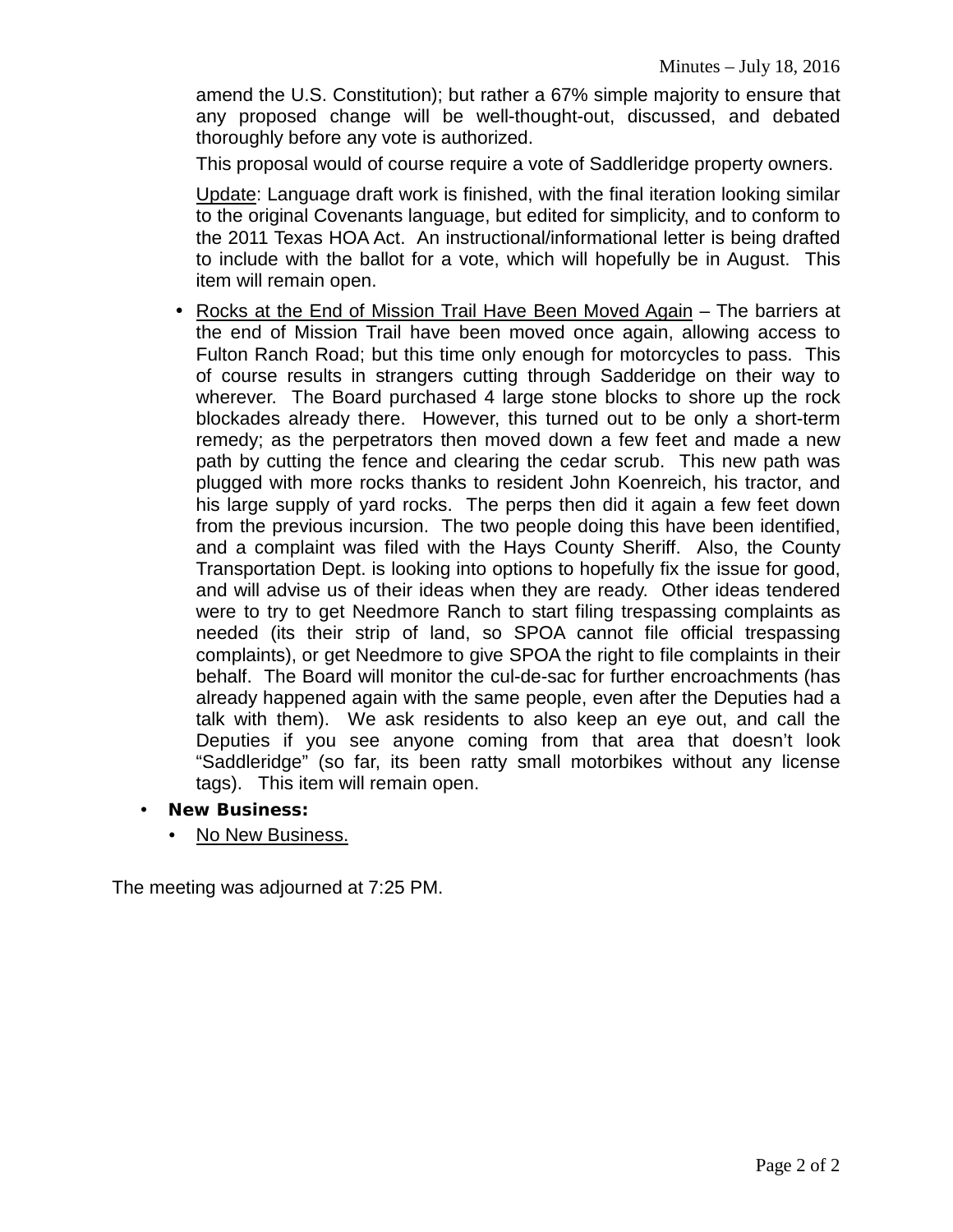amend the U.S. Constitution); but rather a 67% simple majority to ensure that any proposed change will be well-thought-out, discussed, and debated thoroughly before any vote is authorized.

This proposal would of course require a vote of Saddleridge property owners.

Update: Language draft work is finished, with the final iteration looking similar to the original Covenants language, but edited for simplicity, and to conform to the 2011 Texas HOA Act. An instructional/informational letter is being drafted to include with the ballot for a vote, which will hopefully be in August. This item will remain open.

- Rocks at the End of Mission Trail Have Been Moved Again The barriers at the end of Mission Trail have been moved once again, allowing access to Fulton Ranch Road; but this time only enough for motorcycles to pass. This of course results in strangers cutting through Sadderidge on their way to wherever. The Board purchased 4 large stone blocks to shore up the rock blockades already there. However, this turned out to be only a short-term remedy; as the perpetrators then moved down a few feet and made a new path by cutting the fence and clearing the cedar scrub. This new path was plugged with more rocks thanks to resident John Koenreich, his tractor, and his large supply of yard rocks. The perps then did it again a few feet down from the previous incursion. The two people doing this have been identified, and a complaint was filed with the Hays County Sheriff. Also, the County Transportation Dept. is looking into options to hopefully fix the issue for good, and will advise us of their ideas when they are ready. Other ideas tendered were to try to get Needmore Ranch to start filing trespassing complaints as needed (its their strip of land, so SPOA cannot file official trespassing complaints), or get Needmore to give SPOA the right to file complaints in their behalf. The Board will monitor the cul-de-sac for further encroachments (has already happened again with the same people, even after the Deputies had a talk with them). We ask residents to also keep an eye out, and call the Deputies if you see anyone coming from that area that doesn't look "Saddleridge" (so far, its been ratty small motorbikes without any license tags). This item will remain open.
- **New Business:**
	- No New Business.

The meeting was adjourned at 7:25 PM.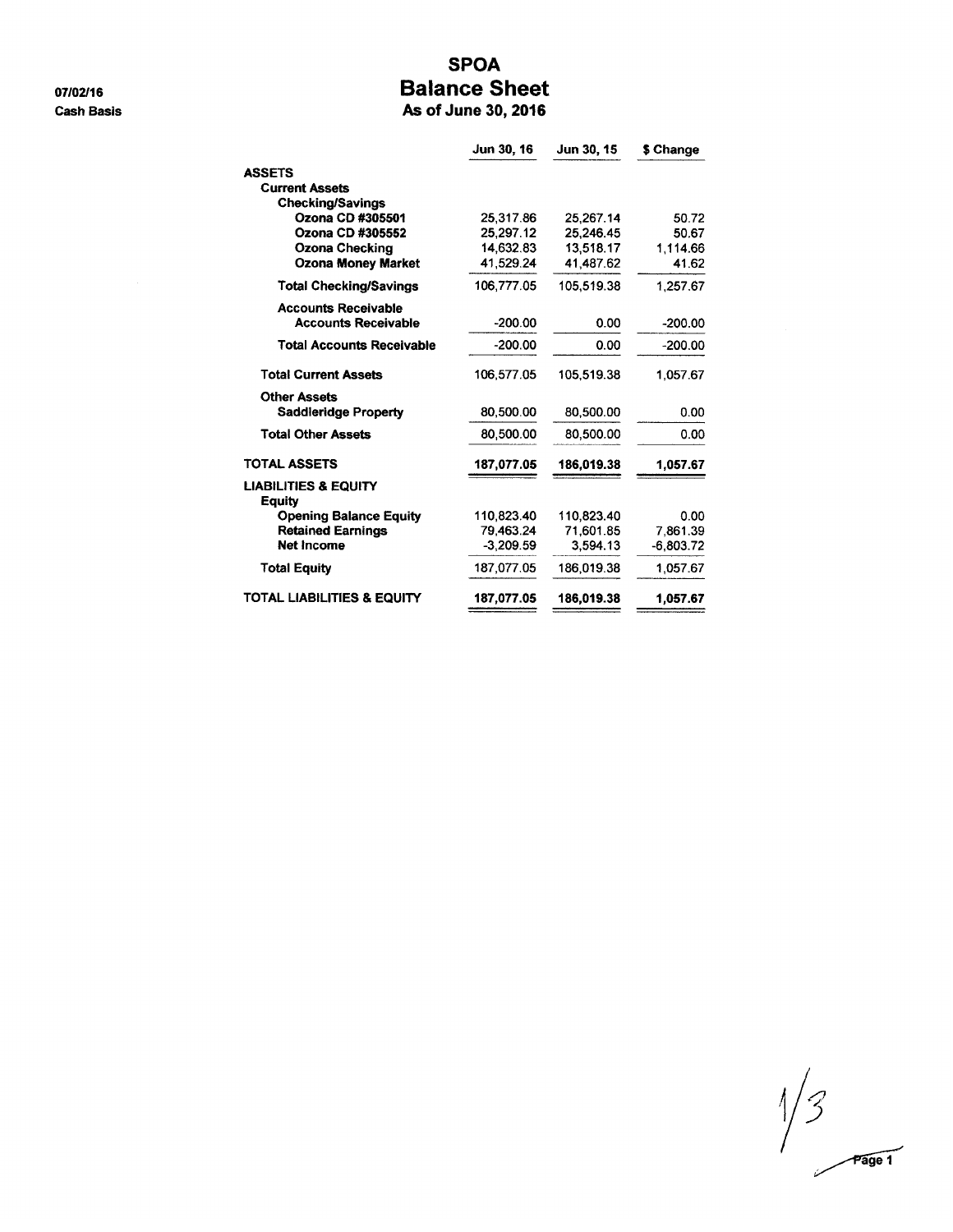07/02/16 **Cash Basis** 

## **SPOA Balance Sheet**

As of June 30, 2016

| Jun 30, 16  | Jun 30, 15 | \$ Change   |
|-------------|------------|-------------|
|             |            |             |
|             |            |             |
|             |            |             |
| 25,317.86   | 25,267.14  | 50.72       |
| 25,297.12   | 25,246.45  | 50.67       |
| 14.632.83   | 13.518.17  | 1,114.66    |
|             |            | 41.62       |
| 106,777.05  | 105,519.38 | 1.257.67    |
|             |            |             |
| $-200.00$   | 0.00       | $-200.00$   |
| $-200.00$   | 0.00       | $-200.00$   |
| 106,577.05  | 105,519.38 | 1.057.67    |
|             |            |             |
| 80,500.00   | 80,500.00  | 0.00        |
| 80,500.00   | 80,500.00  | 0.00        |
| 187,077.05  | 186,019.38 | 1,057.67    |
|             |            |             |
| 110,823.40  | 110,823.40 | 0.00        |
| 79,463.24   | 71.601.85  | 7.861.39    |
| $-3.209.59$ | 3.594.13   | $-6,803.72$ |
| 187,077.05  | 186.019.38 | 1,057.67    |
| 187,077.05  | 186,019.38 | 1,057.67    |
|             | 41,529.24  | 41,487.62   |

 $\frac{1}{3}$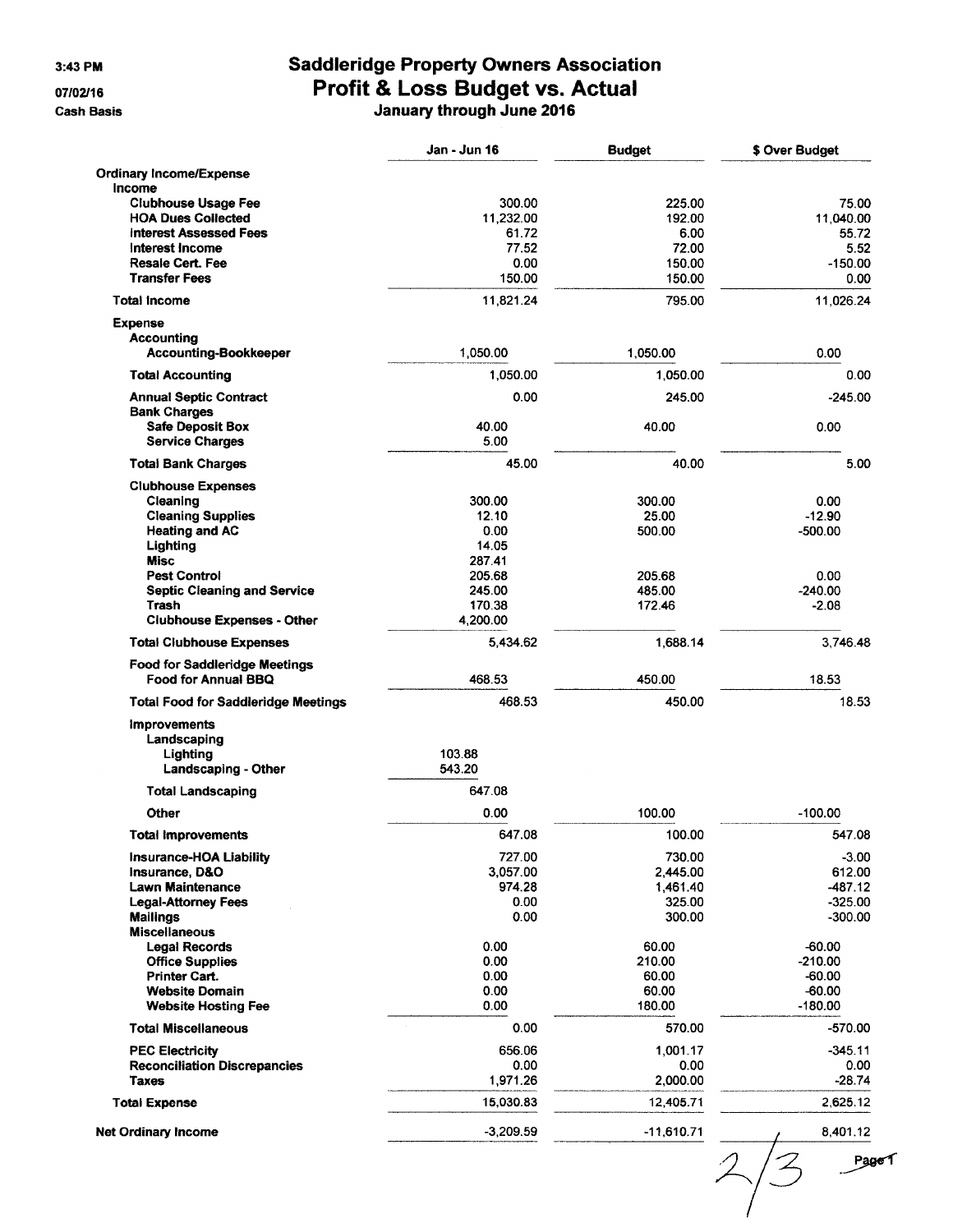3:43 PM

07/02/16

**Cash Basis** 

# Saddleridge Property Owners Association<br>Profit & Loss Budget vs. Actual J

| lanuary through June 2016 |  |
|---------------------------|--|
|---------------------------|--|

|                                                      | Jan - Jun 16 | <b>Budget</b> | \$ Over Budget |
|------------------------------------------------------|--------------|---------------|----------------|
| <b>Ordinary Income/Expense</b>                       |              |               |                |
| Income                                               |              |               |                |
| <b>Clubhouse Usage Fee</b>                           | 300.00       | 225.00        | 75.00          |
| <b>HOA Dues Collected</b>                            | 11,232.00    | 192.00        | 11,040.00      |
| <b>Interest Assessed Fees</b>                        | 61.72        | 6.00          | 5572           |
| Interest Income                                      | 77.52        | 72.00         | 5.52           |
| <b>Resale Cert. Fee</b>                              | 0.00         | 150.00        | $-150.00$      |
| <b>Transfer Fees</b>                                 | 150.00       | 150.00        | 0.00           |
| <b>Total Income</b>                                  | 11,821.24    | 795.00        | 11,026.24      |
| <b>Expense</b>                                       |              |               |                |
| Accounting                                           |              |               |                |
| <b>Accounting-Bookkeeper</b>                         | 1,050.00     | 1,050.00      | 0.00           |
|                                                      |              |               |                |
| <b>Total Accounting</b>                              | 1,050.00     | 1,050.00      | 0.00           |
| <b>Annual Septic Contract</b><br><b>Bank Charges</b> | 0.00         | 245.00        | $-245.00$      |
|                                                      | 40.00        |               |                |
| <b>Safe Deposit Box</b>                              |              | 40.00         | 0.00           |
| <b>Service Charges</b>                               | 5.00         |               |                |
| <b>Total Bank Charges</b>                            | 45.00        | 40.00         | 5.00           |
| <b>Clubhouse Expenses</b>                            |              |               |                |
| Cleaning                                             | 300.00       | 300.00        | 0.00           |
| <b>Cleaning Supplies</b>                             | 12.10        | 25.00         | $-12.90$       |
| <b>Heating and AC</b>                                | 0.00         | 500.00        | $-500.00$      |
| Lighting                                             | 14.05        |               |                |
| <b>Misc</b>                                          | 287.41       |               |                |
| <b>Pest Control</b>                                  | 205.68       | 205.68        | 0.00           |
| <b>Septic Cleaning and Service</b>                   | 245.00       | 485.00        | $-240.00$      |
| Trash                                                | 170.38       | 172.46        | $-2.08$        |
| <b>Clubhouse Expenses - Other</b>                    | 4,200.00     |               |                |
| <b>Total Clubhouse Expenses</b>                      | 5,434.62     | 1,688.14      | 3,746.48       |
| <b>Food for Saddleridge Meetings</b>                 |              |               |                |
| <b>Food for Annual BBQ</b>                           | 468.53       | 450.00        | 18.53          |
| <b>Total Food for Saddleridge Meetings</b>           | 468.53       | 450.00        | 18.53          |
| <b>Improvements</b>                                  |              |               |                |
| Landscaping                                          |              |               |                |
| Lighting                                             | 103.88       |               |                |
| Landscaping - Other                                  | 543.20       |               |                |
| <b>Total Landscaping</b>                             | 647.08       |               |                |
|                                                      |              |               |                |
| Other                                                | 0.00         | 100.00        | $-100.00$      |
| <b>Total Improvements</b>                            | 647.08       | 100.00        | 547.08         |
| Insurance-HOA Liability                              | 727.00       | 730.00        | $-3.00$        |
| Insurance, D&O                                       | 3,057.00     | 2,445.00      | 612.00         |
| <b>Lawn Maintenance</b>                              | 974.28       | 1,461.40      | $-487.12$      |
| <b>Legal-Attorney Fees</b>                           | 0.00         | 325.00        | $-325.00$      |
| <b>Mailings</b>                                      | 0.00         | 300.00        | $-300.00$      |
| <b>Miscellaneous</b>                                 |              |               |                |
| <b>Legal Records</b>                                 | 0.00         | 60.00         | $-60.00$       |
| <b>Office Supplies</b>                               | 0.00         | 210.00        | $-210.00$      |
| Printer Cart.                                        | 0.00         | 60.00         | $-60.00$       |
| <b>Website Domain</b>                                | 0.00         | 60.00         | $-60.00$       |
| <b>Website Hosting Fee</b>                           | 0.00         | 180.00        | $-180.00$      |
| <b>Total Miscellaneous</b>                           | 0.00         | 570.00        | $-570.00$      |
| <b>PEC Electricity</b>                               | 656.06       | 1,001.17      | $-345.11$      |
| <b>Reconciliation Discrepancies</b>                  | 0.00         | 0.00          | 0.00           |
| Taxes                                                | 1,971.26     | 2,000.00      | $-28.74$       |
| <b>Total Expense</b>                                 | 15,030.83    | 12,405.71     | 2,625.12       |
|                                                      |              |               |                |
| <b>Net Ordinary Income</b>                           | $-3,209.59$  | $-11,610.71$  | 8,401.12       |

PageT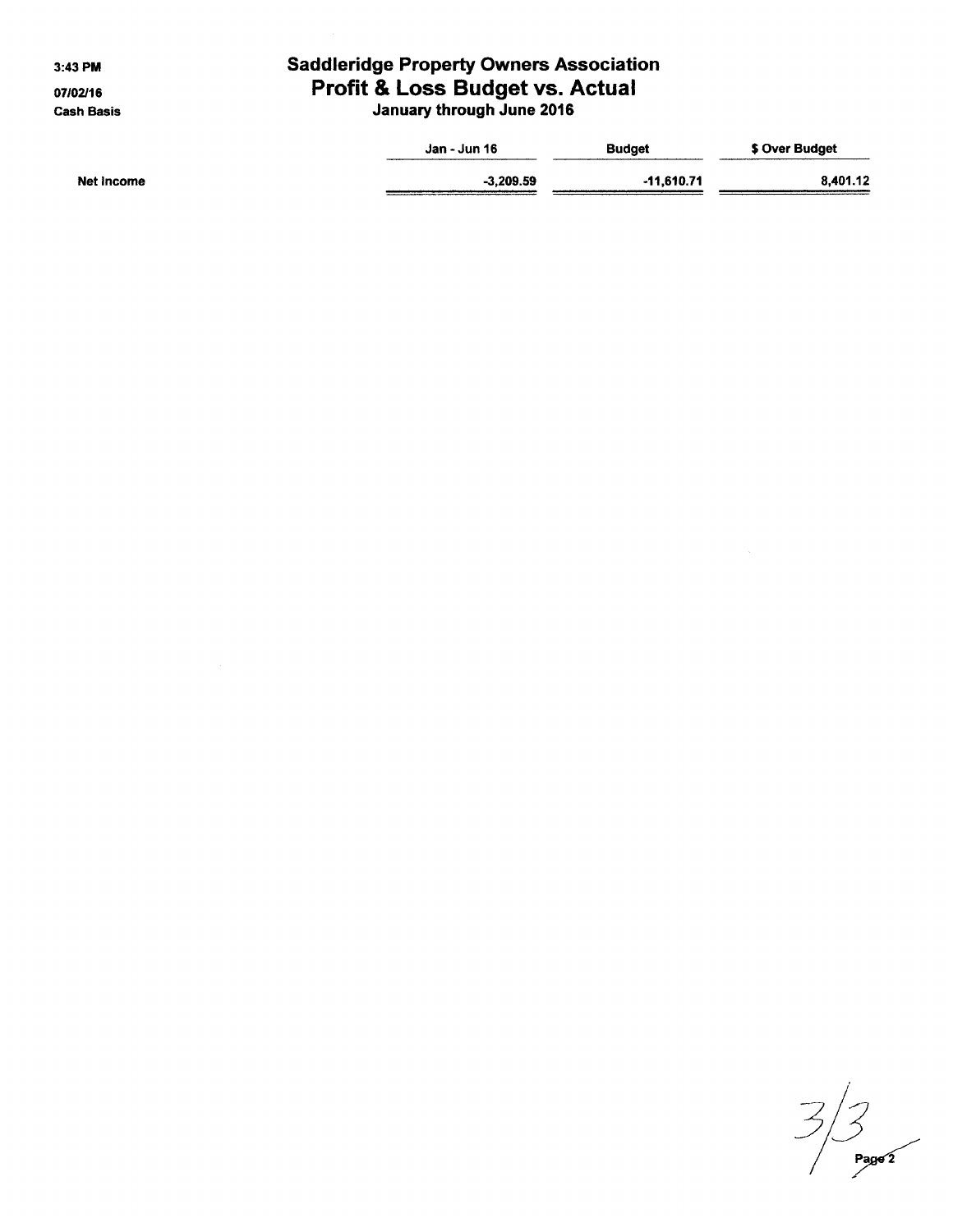3:43 PM

07/02/16 **Cash Basis** 

# **Saddleridge Property Owners Association** Profit & Loss Budget vs. Actual<br>January through June 2016

|            | Jan - Jun 16 | <b>Budget</b> | \$ Over Budget |
|------------|--------------|---------------|----------------|
| Net Income | $-3,209.59$  | $-11,610.71$  | 8.401.12       |
|            |              |               |                |

 $\frac{2}{3}$ <br>Page 2